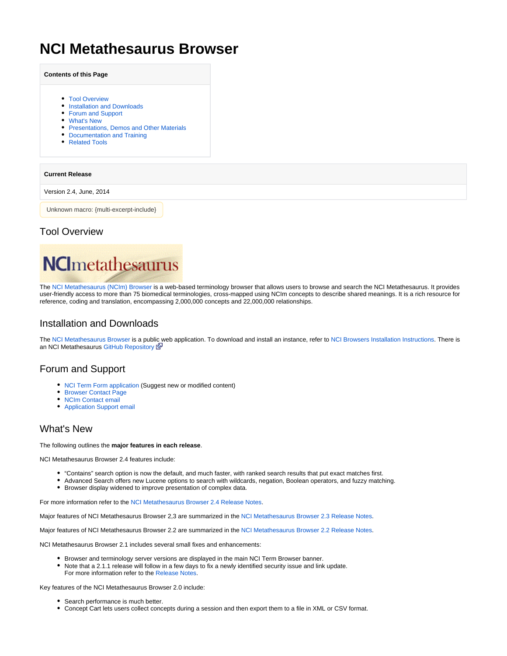# **NCI Metathesaurus Browser**

| <b>Contents of this Page</b> |  |  |  |  |
|------------------------------|--|--|--|--|
|------------------------------|--|--|--|--|

- [Tool Overview](#page-0-0)
- **[Installation and Downloads](#page-0-1)**
- [Forum and Support](#page-0-2)
- [What's New](#page-0-3)
- **[Presentations, Demos and Other Materials](#page-1-0)**
- [Documentation and Training](#page-1-1)
- [Related Tools](#page-1-2)

#### **Current Release**

Version 2.4, June, 2014

Unknown macro: {multi-excerpt-include}

### <span id="page-0-0"></span>Tool Overview



The [NCI Metathesaurus \(NCIm\) Browser](http://ncim.nci.nih.gov/) is a web-based terminology browser that allows users to browse and search the NCI Metathesaurus. It provides user-friendly access to more than 75 biomedical terminologies, cross-mapped using NCIm concepts to describe shared meanings. It is a rich resource for reference, coding and translation, encompassing 2,000,000 concepts and 22,000,000 relationships.

### <span id="page-0-1"></span>Installation and Downloads

The [NCI Metathesaurus Browser](http://ncim.nci.nih.gov/) is a publi[c w](http://www.cancer.gov/policies/linking)eb application. To download and install an instance, refer to [NCI Browsers Installation Instructions.](https://wiki.nci.nih.gov/display/EVS/NCI+Browsers+Installation+Instructions) There is an NCI Metathesaurus [GitHub Repository](https://github.com/NCIP/nci-metathesaurus-browser) E

### <span id="page-0-2"></span>Forum and Support

- [NCI Term Form application](http://ncitermform.nci.nih.gov/ncitermform/) (Suggest new or modified content)
- [Browser Contact Page](http://ncim.nci.nih.gov/ncimbrowser/pages/contact_us.jsf)
- [NCIm Contact email](mailto:NCIMetathesaurus@mail.nih.gov)
- [Application Support email](mailto:ncicb@pop.nci.nih.gov)

## <span id="page-0-3"></span>What's New

#### The following outlines the **major features in each release**.

NCI Metathesaurus Browser 2.4 features include:

- "Contains" search option is now the default, and much faster, with ranked search results that put exact matches first.
- Advanced Search offers new Lucene options to search with wildcards, negation, Boolean operators, and fuzzy matching.
- Browser display widened to improve presentation of complex data.

For more information refer to the [NCI Metathesaurus Browser 2.4 Release Notes](https://wiki.nci.nih.gov/display/EVS/NCI+Metathesaurus+Browser+2.4+Release+Notes).

Major features of NCI Metathesaurus Browser 2,3 are summarized in the [NCI Metathesaurus Browser 2.3 Release Notes](https://wiki.nci.nih.gov/display/EVS/NCI+Metathesaurus+Browser+2.3+Release+Notes).

Major features of NCI Metathesaurus Browser 2.2 are summarized in the [NCI Metathesaurus Browser 2.2 Release Notes](https://wiki.nci.nih.gov/display/EVS/NCI+Metathesaurus+Browser+2.2+Release+Notes).

NCI Metathesaurus Browser 2.1 includes several small fixes and enhancements:

- Browser and terminology server versions are displayed in the main NCI Term Browser banner.
- Note that a 2.1.1 release will follow in a few days to fix a newly identified security issue and link update. For more information refer to the [Release Notes](https://wiki.nci.nih.gov/display/EVS/NCI+Metathesaurus+Browser+2.1+Release+Notes).

Key features of the NCI Metathesaurus Browser 2.0 include:

- Search performance is much better.
- Concept Cart lets users collect concepts during a session and then export them to a file in XML or CSV format.